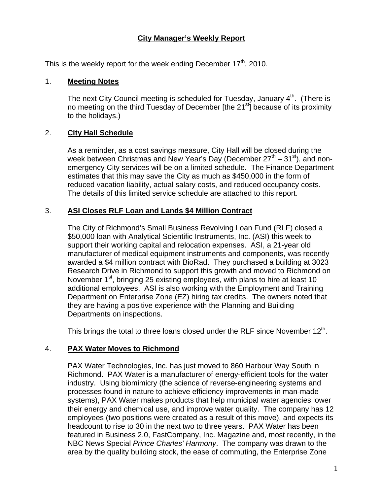## **City Manager's Weekly Report**

This is the weekly report for the week ending December  $17<sup>th</sup>$ , 2010.

#### 1. **Meeting Notes**

The next City Council meeting is scheduled for Tuesday, January  $4<sup>th</sup>$ . (There is no meeting on the third Tuesday of December [the 21<sup>st</sup>] because of its proximity to the holidays.)

#### 2. **City Hall Schedule**

As a reminder, as a cost savings measure, City Hall will be closed during the week between Christmas and New Year's Day (December  $27<sup>th</sup> - 31<sup>st</sup>$ ), and nonemergency City services will be on a limited schedule. The Finance Department estimates that this may save the City as much as \$450,000 in the form of reduced vacation liability, actual salary costs, and reduced occupancy costs. The details of this limited service schedule are attached to this report.

#### 3. **ASI Closes RLF Loan and Lands \$4 Million Contract**

The City of Richmond's Small Business Revolving Loan Fund (RLF) closed a \$50,000 loan with Analytical Scientific Instruments, Inc. (ASI) this week to support their working capital and relocation expenses. ASI, a 21-year old manufacturer of medical equipment instruments and components, was recently awarded a \$4 million contract with BioRad. They purchased a building at 3023 Research Drive in Richmond to support this growth and moved to Richmond on November  $1<sup>st</sup>$ , bringing 25 existing employees, with plans to hire at least 10 additional employees. ASI is also working with the Employment and Training Department on Enterprise Zone (EZ) hiring tax credits. The owners noted that they are having a positive experience with the Planning and Building Departments on inspections.

This brings the total to three loans closed under the RLF since November  $12<sup>th</sup>$ .

#### 4. **PAX Water Moves to Richmond**

PAX Water Technologies, Inc. has just moved to 860 Harbour Way South in Richmond. PAX Water is a manufacturer of energy-efficient tools for the water industry. Using biomimicry (the science of reverse-engineering systems and processes found in nature to achieve efficiency improvements in man-made systems), PAX Water makes products that help municipal water agencies lower their energy and chemical use, and improve water quality. The company has 12 employees (two positions were created as a result of this move), and expects its headcount to rise to 30 in the next two to three years. PAX Water has been featured in Business 2.0, FastCompany, Inc. Magazine and, most recently, in the NBC News Special *Prince Charles' Harmony*. The company was drawn to the area by the quality building stock, the ease of commuting, the Enterprise Zone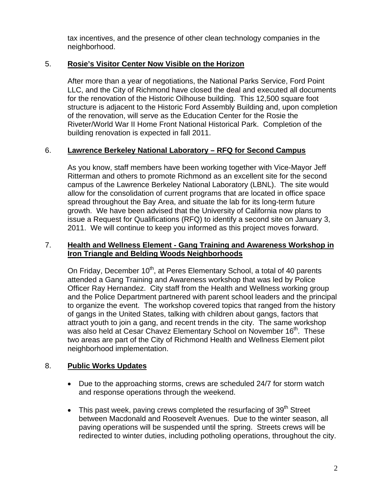tax incentives, and the presence of other clean technology companies in the neighborhood.

## 5. **Rosie's Visitor Center Now Visible on the Horizon**

After more than a year of negotiations, the National Parks Service, Ford Point LLC, and the City of Richmond have closed the deal and executed all documents for the renovation of the Historic Oilhouse building. This 12,500 square foot structure is adjacent to the Historic Ford Assembly Building and, upon completion of the renovation, will serve as the Education Center for the Rosie the Riveter/World War II Home Front National Historical Park. Completion of the building renovation is expected in fall 2011.

## 6. **Lawrence Berkeley National Laboratory – RFQ for Second Campus**

As you know, staff members have been working together with Vice-Mayor Jeff Ritterman and others to promote Richmond as an excellent site for the second campus of the Lawrence Berkeley National Laboratory (LBNL). The site would allow for the consolidation of current programs that are located in office space spread throughout the Bay Area, and situate the lab for its long-term future growth. We have been advised that the University of California now plans to issue a Request for Qualifications (RFQ) to identify a second site on January 3, 2011. We will continue to keep you informed as this project moves forward.

## 7. **Health and Wellness Element - Gang Training and Awareness Workshop in Iron Triangle and Belding Woods Neighborhoods**

On Friday, December 10<sup>th</sup>, at Peres Elementary School, a total of 40 parents attended a Gang Training and Awareness workshop that was led by Police Officer Ray Hernandez. City staff from the Health and Wellness working group and the Police Department partnered with parent school leaders and the principal to organize the event. The workshop covered topics that ranged from the history of gangs in the United States, talking with children about gangs, factors that attract youth to join a gang, and recent trends in the city. The same workshop was also held at Cesar Chavez Elementary School on November 16<sup>th</sup>. These two areas are part of the City of Richmond Health and Wellness Element pilot neighborhood implementation.

## 8. **Public Works Updates**

- Due to the approaching storms, crews are scheduled 24/7 for storm watch and response operations through the weekend.
- $\bullet$  This past week, paving crews completed the resurfacing of 39<sup>th</sup> Street between Macdonald and Roosevelt Avenues. Due to the winter season, all paving operations will be suspended until the spring. Streets crews will be redirected to winter duties, including potholing operations, throughout the city.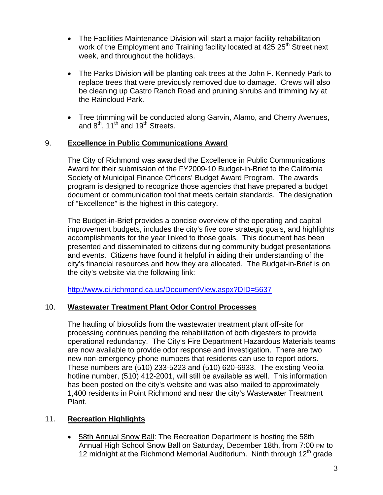- The Facilities Maintenance Division will start a major facility rehabilitation work of the Employment and Training facility located at 425 25<sup>th</sup> Street next week, and throughout the holidays.
- The Parks Division will be planting oak trees at the John F. Kennedy Park to replace trees that were previously removed due to damage. Crews will also be cleaning up Castro Ranch Road and pruning shrubs and trimming ivy at the Raincloud Park.
- Tree trimming will be conducted along Garvin, Alamo, and Cherry Avenues, and  $8<sup>th</sup>$ , 11<sup>th</sup> and 19<sup>th</sup> Streets.

## 9. **Excellence in Public Communications Award**

The City of Richmond was awarded the Excellence in Public Communications Award for their submission of the FY2009-10 Budget-in-Brief to the California Society of Municipal Finance Officers' Budget Award Program. The awards program is designed to recognize those agencies that have prepared a budget document or communication tool that meets certain standards. The designation of "Excellence" is the highest in this category.

The Budget-in-Brief provides a concise overview of the operating and capital improvement budgets, includes the city's five core strategic goals, and highlights accomplishments for the year linked to those goals. This document has been presented and disseminated to citizens during community budget presentations and events. Citizens have found it helpful in aiding their understanding of the city's financial resources and how they are allocated. The Budget-in-Brief is on the city's website via the following link:

<http://www.ci.richmond.ca.us/DocumentView.aspx?DID=5637>

## 10. **Wastewater Treatment Plant Odor Control Processes**

The hauling of biosolids from the wastewater treatment plant off-site for processing continues pending the rehabilitation of both digesters to provide operational redundancy. The City's Fire Department Hazardous Materials teams are now available to provide odor response and investigation. There are two new non-emergency phone numbers that residents can use to report odors. These numbers are (510) 233-5223 and (510) 620-6933. The existing Veolia hotline number, (510) 412-2001, will still be available as well. This information has been posted on the city's website and was also mailed to approximately 1,400 residents in Point Richmond and near the city's Wastewater Treatment Plant.

## 11. **Recreation Highlights**

 58th Annual Snow Ball: The Recreation Department is hosting the 58th Annual High School Snow Ball on Saturday, December 18th, from 7:00 PM to 12 midnight at the Richmond Memorial Auditorium. Ninth through  $12<sup>th</sup>$  grade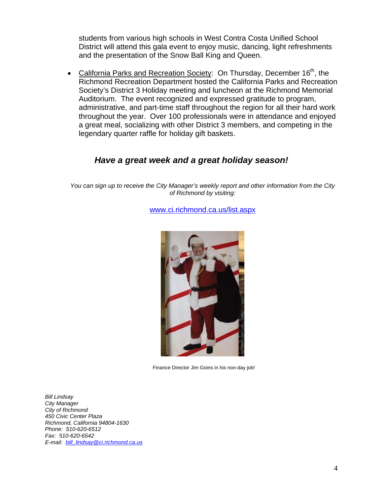students from various high schools in West Contra Costa Unified School District will attend this gala event to enjoy music, dancing, light refreshments and the presentation of the Snow Ball King and Queen.

• California Parks and Recreation Society: On Thursday, December  $16<sup>th</sup>$ , the Richmond Recreation Department hosted the California Parks and Recreation Society's District 3 Holiday meeting and luncheon at the Richmond Memorial Auditorium. The event recognized and expressed gratitude to program, administrative, and part-time staff throughout the region for all their hard work throughout the year. Over 100 professionals were in attendance and enjoyed a great meal, socializing with other District 3 members, and competing in the legendary quarter raffle for holiday gift baskets.

# *Have a great week and a great holiday season!*

*You can sign up to receive the City Manager's weekly report and other information from the City of Richmond by visiting:* 

[www.ci.richmond.ca.us/list.aspx](http://www.ci.richmond.ca.us/list.aspx)



Finance Director Jim Goins in his non-day job!

*Bill Lindsay City Manager City of Richmond 450 Civic Center Plaza Richmond, California 94804-1630 Phone: 510-620-6512 Fax: 510-620-6542 E-mail: [bill\\_lindsay@ci.richmond.ca.us](mailto:bill_lindsay@ci.richmond.ca.us)*